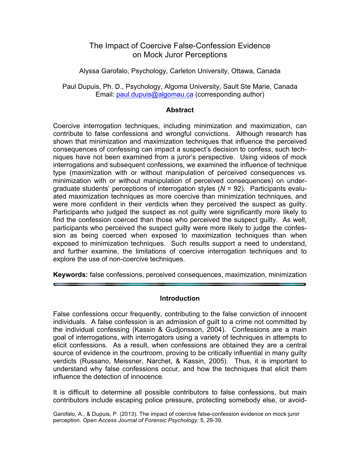# The Impact of Coercive False-Confession Evidence on Mock Juror Perceptions

Alyssa Garofalo, Psychology, Carleton University, Ottawa, Canada

Paul Dupuis, Ph. D., Psychology, Algoma University, Sault Ste Marie, Canada Email: paul.dupuis@algomau.ca (corresponding author)

### **Abstract**

Coercive interrogation techniques, including minimization and maximization, can contribute to false confessions and wrongful convictions. Although research has shown that minimization and maximization techniques that influence the perceived consequences of confessing can impact a suspect's decision to confess, such techniques have not been examined from a juror's perspective. Using videos of mock interrogations and subsequent confessions, we examined the influence of technique type (maximization with or without manipulation of perceived consequences vs. minimization with or without manipulation of perceived consequences) on undergraduate students' perceptions of interrogation styles (*N* = 92). Participants evaluated maximization techniques as more coercive than minimization techniques, and were more confident in their verdicts when they perceived the suspect as guilty. Participants who judged the suspect as not guilty were significantly more likely to find the confession coerced than those who perceived the suspect guilty. As well, participants who perceived the suspect guilty were more likely to judge the confession as being coerced when exposed to maximization techniques than when exposed to minimization techniques. Such results support a need to understand, and further examine, the limitations of coercive interrogation techniques and to explore the use of non-coercive techniques.

**Keywords:** false confessions, perceived consequences, maximization, minimization

### **Introduction**

False confessions occur frequently, contributing to the false conviction of innocent individuals. A false confession is an admission of guilt to a crime not committed by the individual confessing (Kassin & Gudjonsson, 2004). Confessions are a main goal of interrogations, with interrogators using a variety of techniques in attempts to elicit confessions. As a result, when confessions are obtained they are a central source of evidence in the courtroom, proving to be critically influential in many guilty verdicts (Russano, Meissner, Narchet, & Kassin, 2005). Thus, it is important to understand why false confessions occur, and how the techniques that elicit them influence the detection of innocence.

It is difficult to determine all possible contributors to false confessions, but main contributors include escaping police pressure, protecting somebody else, or avoid-

Garofalo, A., & Dupuis, P. (2013). The impact of coercive false-confession evidence on mock juror perception. *Open Access Journal of Forensic Psychology,* 5, 29-39.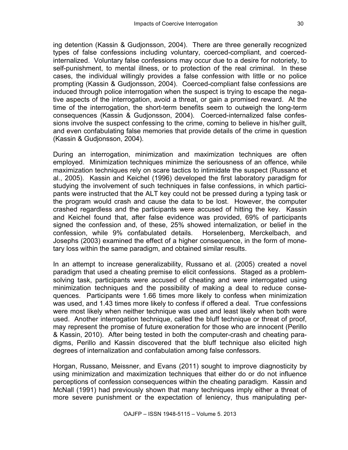ing detention (Kassin & Gudjonsson, 2004). There are three generally recognized types of false confessions including voluntary, coerced-compliant, and coercedinternalized. Voluntary false confessions may occur due to a desire for notoriety, to self-punishment, to mental illness, or to protection of the real criminal. In these cases, the individual willingly provides a false confession with little or no police prompting (Kassin & Gudjonsson, 2004). Coerced-compliant false confessions are induced through police interrogation when the suspect is trying to escape the negative aspects of the interrogation, avoid a threat, or gain a promised reward. At the time of the interrogation, the short-term benefits seem to outweigh the long-term consequences (Kassin & Gudjonsson, 2004). Coerced-internalized false confessions involve the suspect confessing to the crime, coming to believe in his/her guilt, and even confabulating false memories that provide details of the crime in question (Kassin & Gudjonsson, 2004).

During an interrogation, minimization and maximization techniques are often employed. Minimization techniques minimize the seriousness of an offence, while maximization techniques rely on scare tactics to intimidate the suspect (Russano et al., 2005). Kassin and Keichel (1996) developed the first laboratory paradigm for studying the involvement of such techniques in false confessions, in which participants were instructed that the ALT key could not be pressed during a typing task or the program would crash and cause the data to be lost. However, the computer crashed regardless and the participants were accused of hitting the key. Kassin and Keichel found that, after false evidence was provided, 69% of participants signed the confession and, of these, 25% showed internalization, or belief in the confession, while 9% confabulated details. Horselenberg, Merckelbach, and Josephs (2003) examined the effect of a higher consequence, in the form of monetary loss within the same paradigm, and obtained similar results.

In an attempt to increase generalizability, Russano et al. (2005) created a novel paradigm that used a cheating premise to elicit confessions. Staged as a problemsolving task, participants were accused of cheating and were interrogated using minimization techniques and the possibility of making a deal to reduce consequences. Participants were 1.66 times more likely to confess when minimization was used, and 1.43 times more likely to confess if offered a deal. True confessions were most likely when neither technique was used and least likely when both were used. Another interrogation technique, called the bluff technique or threat of proof, may represent the promise of future exoneration for those who are innocent (Perillo & Kassin, 2010). After being tested in both the computer-crash and cheating paradigms, Perillo and Kassin discovered that the bluff technique also elicited high degrees of internalization and confabulation among false confessors.

Horgan, Russano, Meissner, and Evans (2011) sought to improve diagnosticity by using minimization and maximization techniques that either do or do not influence perceptions of confession consequences within the cheating paradigm. Kassin and McNall (1991) had previously shown that many techniques imply either a threat of more severe punishment or the expectation of leniency, thus manipulating per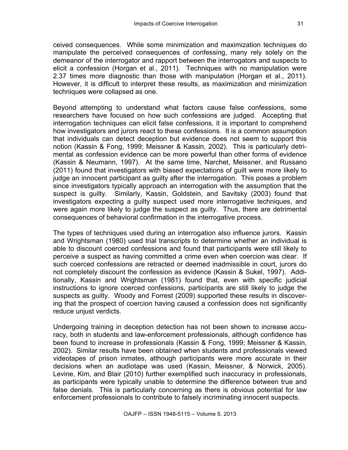ceived consequences. While some minimization and maximization techniques do manipulate the perceived consequences of confessing, many rely solely on the demeanor of the interrogator and rapport between the interrogators and suspects to elicit a confession (Horgan et al., 2011). Techniques with no manipulation were 2.37 times more diagnostic than those with manipulation (Horgan et al., 2011). However, it is difficult to interpret these results, as maximization and minimization techniques were collapsed as one.

Beyond attempting to understand what factors cause false confessions, some researchers have focused on how such confessions are judged. Accepting that interrogation techniques can elicit false confessions, it is important to comprehend how investigators and jurors react to these confessions. It is a common assumption that individuals can detect deception but evidence does not seem to support this notion (Kassin & Fong, 1999; Meissner & Kassin, 2002). This is particularly detrimental as confession evidence can be more powerful than other forms of evidence (Kassin & Neumann, 1997). At the same time, Narchet, Meissner, and Russano (2011) found that investigators with biased expectations of guilt were more likely to judge an innocent participant as guilty after the interrogation. This poses a problem since investigators typically approach an interrogation with the assumption that the suspect is guilty. Similarly, Kassin, Goldstein, and Savitsky (2003) found that investigators expecting a guilty suspect used more interrogative techniques, and were again more likely to judge the suspect as guilty. Thus, there are detrimental consequences of behavioral confirmation in the interrogative process.

The types of techniques used during an interrogation also influence jurors. Kassin and Wrightsman (1980) used trial transcripts to determine whether an individual is able to discount coerced confessions and found that participants were still likely to perceive a suspect as having committed a crime even when coercion was clear. If such coerced confessions are retracted or deemed inadmissible in court, jurors do not completely discount the confession as evidence (Kassin & Sukel, 1997). Additionally, Kassin and Wrightsman (1981) found that, even with specific judicial instructions to ignore coerced confessions, participants are still likely to judge the suspects as guilty. Woody and Forrest (2009) supported these results in discovering that the prospect of coercion having caused a confession does not significantly reduce unjust verdicts.

Undergoing training in deception detection has not been shown to increase accuracy, both in students and law-enforcement professionals, although confidence has been found to increase in professionals (Kassin & Fong, 1999; Meissner & Kassin, 2002). Similar results have been obtained when students and professionals viewed videotapes of prison inmates, although participants were more accurate in their decisions when an audiotape was used (Kassin, Meissner, & Norwick, 2005). Levine, Kim, and Blair (2010) further exemplified such inaccuracy in professionals, as participants were typically unable to determine the difference between true and false denials. This is particularly concerning as there is obvious potential for law enforcement professionals to contribute to falsely incriminating innocent suspects.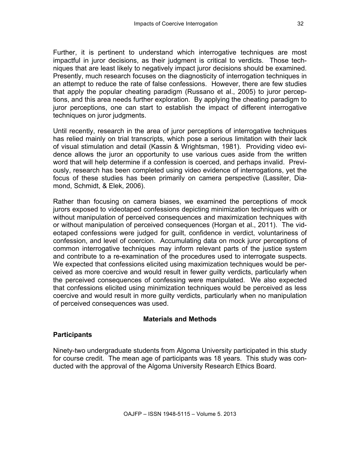Further, it is pertinent to understand which interrogative techniques are most impactful in juror decisions, as their judgment is critical to verdicts. Those techniques that are least likely to negatively impact juror decisions should be examined. Presently, much research focuses on the diagnosticity of interrogation techniques in an attempt to reduce the rate of false confessions. However, there are few studies that apply the popular cheating paradigm (Russano et al., 2005) to juror perceptions, and this area needs further exploration. By applying the cheating paradigm to juror perceptions, one can start to establish the impact of different interrogative techniques on juror judgments.

Until recently, research in the area of juror perceptions of interrogative techniques has relied mainly on trial transcripts, which pose a serious limitation with their lack of visual stimulation and detail (Kassin & Wrightsman, 1981). Providing video evidence allows the juror an opportunity to use various cues aside from the written word that will help determine if a confession is coerced, and perhaps invalid. Previously, research has been completed using video evidence of interrogations, yet the focus of these studies has been primarily on camera perspective (Lassiter, Diamond, Schmidt, & Elek, 2006).

Rather than focusing on camera biases, we examined the perceptions of mock jurors exposed to videotaped confessions depicting minimization techniques with or without manipulation of perceived consequences and maximization techniques with or without manipulation of perceived consequences (Horgan et al., 2011). The videotaped confessions were judged for guilt, confidence in verdict, voluntariness of confession, and level of coercion. Accumulating data on mock juror perceptions of common interrogative techniques may inform relevant parts of the justice system and contribute to a re-examination of the procedures used to interrogate suspects. We expected that confessions elicited using maximization techniques would be perceived as more coercive and would result in fewer guilty verdicts, particularly when the perceived consequences of confessing were manipulated. We also expected that confessions elicited using minimization techniques would be perceived as less coercive and would result in more guilty verdicts, particularly when no manipulation of perceived consequences was used.

# **Materials and Methods**

# **Participants**

Ninety-two undergraduate students from Algoma University participated in this study for course credit. The mean age of participants was 18 years. This study was conducted with the approval of the Algoma University Research Ethics Board.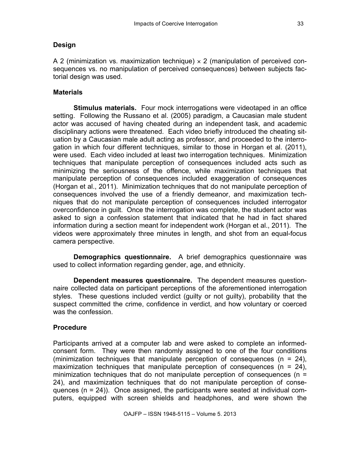#### **Design**

A 2 (minimization vs. maximization technique)  $\times$  2 (manipulation of perceived consequences vs. no manipulation of perceived consequences) between subjects factorial design was used.

#### **Materials**

**Stimulus materials.** Four mock interrogations were videotaped in an office setting. Following the Russano et al. (2005) paradigm, a Caucasian male student actor was accused of having cheated during an independent task, and academic disciplinary actions were threatened. Each video briefly introduced the cheating situation by a Caucasian male adult acting as professor, and proceeded to the interrogation in which four different techniques, similar to those in Horgan et al. (2011), were used. Each video included at least two interrogation techniques. Minimization techniques that manipulate perception of consequences included acts such as minimizing the seriousness of the offence, while maximization techniques that manipulate perception of consequences included exaggeration of consequences (Horgan et al., 2011). Minimization techniques that do not manipulate perception of consequences involved the use of a friendly demeanor, and maximization techniques that do not manipulate perception of consequences included interrogator overconfidence in guilt. Once the interrogation was complete, the student actor was asked to sign a confession statement that indicated that he had in fact shared information during a section meant for independent work (Horgan et al., 2011). The videos were approximately three minutes in length, and shot from an equal-focus camera perspective.

**Demographics questionnaire.** A brief demographics questionnaire was used to collect information regarding gender, age, and ethnicity.

**Dependent measures questionnaire.** The dependent measures questionnaire collected data on participant perceptions of the aforementioned interrogation styles. These questions included verdict (guilty or not guilty), probability that the suspect committed the crime, confidence in verdict, and how voluntary or coerced was the confession

### **Procedure**

Participants arrived at a computer lab and were asked to complete an informedconsent form. They were then randomly assigned to one of the four conditions (minimization techniques that manipulate perception of consequences ( $n = 24$ ), maximization techniques that manipulate perception of consequences ( $n = 24$ ), minimization techniques that do not manipulate perception of consequences (n = 24), and maximization techniques that do not manipulate perception of consequences (n = 24)). Once assigned, the participants were seated at individual computers, equipped with screen shields and headphones, and were shown the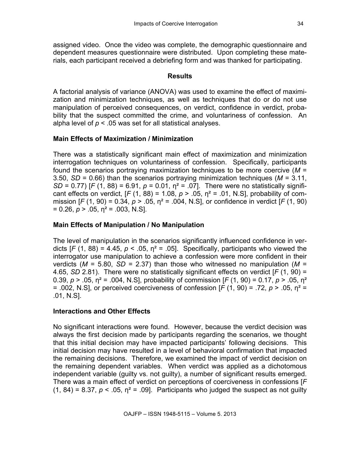assigned video. Once the video was complete, the demographic questionnaire and dependent measures questionnaire were distributed. Upon completing these materials, each participant received a debriefing form and was thanked for participating.

### **Results**

A factorial analysis of variance (ANOVA) was used to examine the effect of maximization and minimization techniques, as well as techniques that do or do not use manipulation of perceived consequences, on verdict, confidence in verdict, probability that the suspect committed the crime, and voluntariness of confession. An alpha level of  $p < 0.05$  was set for all statistical analyses.

# **Main Effects of Maximization / Minimization**

There was a statistically significant main effect of maximization and minimization interrogation techniques on voluntariness of confession. Specifically, participants found the scenarios portraying maximization techniques to be more coercive (*M* = 3.50, *SD* = 0.66) than the scenarios portraying minimization techniques (*M* = 3.11, *SD* = 0.77) [*F* (1, 88) = 6.91,  $p = 0.01$ ,  $\eta^2 = .07$ ]. There were no statistically significant effects on verdict,  $[F (1, 88) = 1.08, p > .05, \eta^2 = .01, N.S]$ , probability of commission [*F* (1, 90) = 0.34, *p* > .05, η² = .004, N.S], or confidence in verdict [*F* (1, 90)  $= 0.26$ ,  $p > .05$ ,  $p^2 = .003$ , N.S.

### **Main Effects of Manipulation / No Manipulation**

The level of manipulation in the scenarios significantly influenced confidence in verdicts  $[F (1, 88) = 4.45, p < .05, \eta^2 = .05]$ . Specifically, participants who viewed the interrogator use manipulation to achieve a confession were more confident in their verdicts ( $M = 5.80$ ,  $SD = 2.37$ ) than those who witnessed no manipulation ( $M =$ 4.65, *SD* 2.81). There were no statistically significant effects on verdict [*F* (1, 90) = 0.39, *p* > .05, η² = .004, N.S], probability of commission [*F* (1, 90) = 0.17, *p* > .05, η² = .002, N.S], or perceived coerciveness of confession [*F* (1, 90) = .72, *p* > .05, η² = .01, N.S].

### **Interactions and Other Effects**

No significant interactions were found. However, because the verdict decision was always the first decision made by participants regarding the scenarios, we thought that this initial decision may have impacted participants' following decisions. This initial decision may have resulted in a level of behavioral confirmation that impacted the remaining decisions. Therefore, we examined the impact of verdict decision on the remaining dependent variables. When verdict was applied as a dichotomous independent variable (guilty vs. not guilty), a number of significant results emerged. There was a main effect of verdict on perceptions of coerciveness in confessions [*F* (1, 84) = 8.37,  $p < 0.05$ ,  $\eta^2$  = .09]. Participants who judged the suspect as not guilty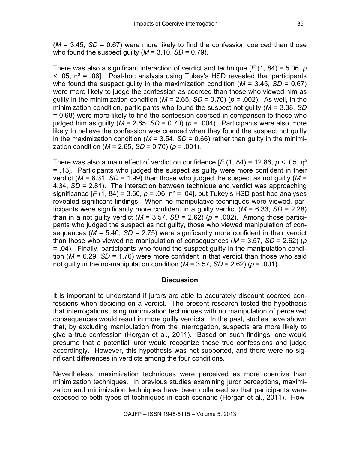(*M* = 3.45, *SD* = 0.67) were more likely to find the confession coerced than those who found the suspect guilty ( $M = 3.10$ ,  $SD = 0.79$ ).

There was also a significant interaction of verdict and technique [*F* (1, 84) = 5.06, *p*  $\leq$  .05,  $\eta^2$  = .06]. Post-hoc analysis using Tukey's HSD revealed that participants who found the suspect guilty in the maximization condition ( $M = 3.45$ ,  $SD = 0.67$ ) were more likely to judge the confession as coerced than those who viewed him as guilty in the minimization condition ( $M = 2.65$ ,  $SD = 0.70$ ) ( $p = .002$ ). As well, in the minimization condition, participants who found the suspect not guilty (*M* = 3.38, *SD* = 0.68) were more likely to find the confession coerced in comparison to those who judged him as guilty ( $M = 2.65$ ,  $SD = 0.70$ ) ( $p = .004$ ). Participants were also more likely to believe the confession was coerced when they found the suspect not guilty in the maximization condition ( $M = 3.54$ ,  $SD = 0.66$ ) rather than quilty in the minimization condition (*M* = 2.65, *SD* = 0.70) (*p* = .001).

There was also a main effect of verdict on confidence [*F* (1, 84) = 12.86, *p* < .05, η² = .13]. Participants who judged the suspect as guilty were more confident in their verdict ( $M = 6.31$ ,  $SD = 1.99$ ) than those who judged the suspect as not guilty ( $M =$ 4.34, *SD* = 2.81). The interaction between technique and verdict was approaching significance  $[F(1, 84) = 3.60, p = .06, \eta^2 = .04]$ , but Tukey's HSD post-hoc analyses revealed significant findings. When no manipulative techniques were viewed, participants were significantly more confident in a guilty verdict (*M* = 6.33, *SD* = 2.28) than in a not quilty verdict ( $M = 3.57$ ,  $SD = 2.62$ ) ( $p = .002$ ). Among those participants who judged the suspect as not guilty, those who viewed manipulation of consequences (*M* = 5.40, *SD* = 2.75) were significantly more confident in their verdict than those who viewed no manipulation of consequences (*M* = 3.57, *SD* = 2.62) (*p* = .04). Finally, participants who found the suspect guilty in the manipulation condition ( $M = 6.29$ ,  $SD = 1.76$ ) were more confident in that verdict than those who said not guilty in the no-manipulation condition ( $M = 3.57$ ,  $SD = 2.62$ ) ( $p = .001$ ).

### **Discussion**

It is important to understand if jurors are able to accurately discount coerced confessions when deciding on a verdict. The present research tested the hypothesis that interrogations using minimization techniques with no manipulation of perceived consequences would result in more guilty verdicts. In the past, studies have shown that, by excluding manipulation from the interrogation, suspects are more likely to give a true confession (Horgan et al., 2011). Based on such findings, one would presume that a potential juror would recognize these true confessions and judge accordingly. However, this hypothesis was not supported, and there were no significant differences in verdicts among the four conditions.

Nevertheless, maximization techniques were perceived as more coercive than minimization techniques. In previous studies examining juror perceptions, maximization and minimization techniques have been collapsed so that participants were exposed to both types of techniques in each scenario (Horgan et al., 2011). How-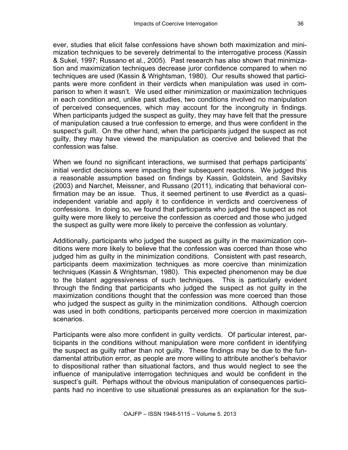ever, studies that elicit false confessions have shown both maximization and minimization techniques to be severely detrimental to the interrogative process (Kassin & Sukel, 1997; Russano et al., 2005). Past research has also shown that minimization and maximization techniques decrease juror confidence compared to when no techniques are used (Kassin & Wrightsman, 1980). Our results showed that participants were more confident in their verdicts when manipulation was used in comparison to when it wasn't. We used either minimization or maximization techniques in each condition and, unlike past studies, two conditions involved no manipulation of perceived consequences, which may account for the incongruity in findings. When participants judged the suspect as guilty, they may have felt that the pressure of manipulation caused a true confession to emerge, and thus were confident in the suspect's guilt. On the other hand, when the participants judged the suspect as not guilty, they may have viewed the manipulation as coercive and believed that the confession was false.

When we found no significant interactions, we surmised that perhaps participants' initial verdict decisions were impacting their subsequent reactions. We judged this a reasonable assumption based on findings by Kassin, Goldstein, and Savitsky (2003) and Narchet, Meissner, and Russano (2011), indicating that behavioral confirmation may be an issue. Thus, it seemed pertinent to use #verdict as a quasiindependent variable and apply it to confidence in verdicts and coerciveness of confessions. In doing so, we found that participants who judged the suspect as not guilty were more likely to perceive the confession as coerced and those who judged the suspect as guilty were more likely to perceive the confession as voluntary.

Additionally, participants who judged the suspect as guilty in the maximization conditions were more likely to believe that the confession was coerced than those who judged him as guilty in the minimization conditions. Consistent with past research, participants deem maximization techniques as more coercive than minimization techniques (Kassin & Wrightsman, 1980). This expected phenomenon may be due to the blatant aggressiveness of such techniques. This is particularly evident through the finding that participants who judged the suspect as not guilty in the maximization conditions thought that the confession was more coerced than those who judged the suspect as guilty in the minimization conditions. Although coercion was used in both conditions, participants perceived more coercion in maximization scenarios.

Participants were also more confident in guilty verdicts. Of particular interest, participants in the conditions without manipulation were more confident in identifying the suspect as guilty rather than not guilty. These findings may be due to the fundamental attribution error, as people are more willing to attribute another's behavior to dispositional rather than situational factors, and thus would neglect to see the influence of manipulative interrogation techniques and would be confident in the suspect's guilt. Perhaps without the obvious manipulation of consequences participants had no incentive to use situational pressures as an explanation for the sus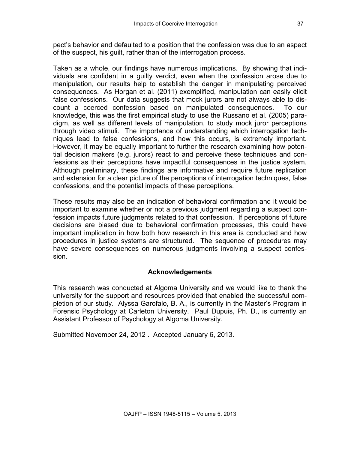pect's behavior and defaulted to a position that the confession was due to an aspect of the suspect, his guilt, rather than of the interrogation process.

Taken as a whole, our findings have numerous implications. By showing that individuals are confident in a guilty verdict, even when the confession arose due to manipulation, our results help to establish the danger in manipulating perceived consequences. As Horgan et al. (2011) exemplified, manipulation can easily elicit false confessions. Our data suggests that mock jurors are not always able to discount a coerced confession based on manipulated consequences. To our knowledge, this was the first empirical study to use the Russano et al. (2005) paradigm, as well as different levels of manipulation, to study mock juror perceptions through video stimuli. The importance of understanding which interrogation techniques lead to false confessions, and how this occurs, is extremely important. However, it may be equally important to further the research examining how potential decision makers (e.g. jurors) react to and perceive these techniques and confessions as their perceptions have impactful consequences in the justice system. Although preliminary, these findings are informative and require future replication and extension for a clear picture of the perceptions of interrogation techniques, false confessions, and the potential impacts of these perceptions.

These results may also be an indication of behavioral confirmation and it would be important to examine whether or not a previous judgment regarding a suspect confession impacts future judgments related to that confession. If perceptions of future decisions are biased due to behavioral confirmation processes, this could have important implication in how both how research in this area is conducted and how procedures in justice systems are structured. The sequence of procedures may have severe consequences on numerous judgments involving a suspect confession.

# **Acknowledgements**

This research was conducted at Algoma University and we would like to thank the university for the support and resources provided that enabled the successful completion of our study. Alyssa Garofalo, B. A., is currently in the Master's Program in Forensic Psychology at Carleton University. Paul Dupuis, Ph. D., is currently an Assistant Professor of Psychology at Algoma University.

Submitted November 24, 2012 . Accepted January 6, 2013.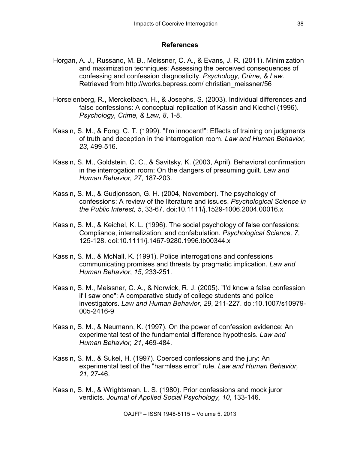#### **References**

- Horgan, A. J., Russano, M. B., Meissner, C. A., & Evans, J. R. (2011). Minimization and maximization techniques: Assessing the perceived consequences of confessing and confession diagnosticity. *Psychology, Crime, & Law*. Retrieved from http://works.bepress.com/ christian\_meissner/56
- Horselenberg, R., Merckelbach, H., & Josephs, S. (2003). Individual differences and false confessions: A conceptual replication of Kassin and Kiechel (1996). *Psychology, Crime, & Law, 8*, 1-8.
- Kassin, S. M., & Fong, C. T. (1999). "I'm innocent!": Effects of training on judgments of truth and deception in the interrogation room. *Law and Human Behavior, 23*, 499-516.
- Kassin, S. M., Goldstein, C. C., & Savitsky, K. (2003, April). Behavioral confirmation in the interrogation room: On the dangers of presuming guilt. *Law and Human Behavior, 27*, 187-203.
- Kassin, S. M., & Gudjonsson, G. H. (2004, November). The psychology of confessions: A review of the literature and issues. *Psychological Science in the Public Interest, 5*, 33-67. doi:10.1111/j.1529-1006.2004.00016.x
- Kassin, S. M., & Keichel, K. L. (1996). The social psychology of false confessions: Compliance, internalization, and confabulation. *Psychological Science, 7*, 125-128. doi:10.1111/j.1467-9280.1996.tb00344.x
- Kassin, S. M., & McNall, K. (1991). Police interrogations and confessions communicating promises and threats by pragmatic implication. *Law and Human Behavior*, *15*, 233-251.
- Kassin, S. M., Meissner, C. A., & Norwick, R. J. (2005). "I'd know a false confession if I saw one": A comparative study of college students and police investigators. *Law and Human Behavior, 29*, 211-227. doi:10.1007/s10979- 005-2416-9
- Kassin, S. M., & Neumann, K. (1997). On the power of confession evidence: An experimental test of the fundamental difference hypothesis. *Law and Human Behavior, 21*, 469-484.
- Kassin, S. M., & Sukel, H. (1997). Coerced confessions and the jury: An experimental test of the "harmless error" rule. *Law and Human Behavior, 21*, 27-46.
- Kassin, S. M., & Wrightsman, L. S. (1980). Prior confessions and mock juror verdicts. *Journal of Applied Social Psychology, 10*, 133-146.